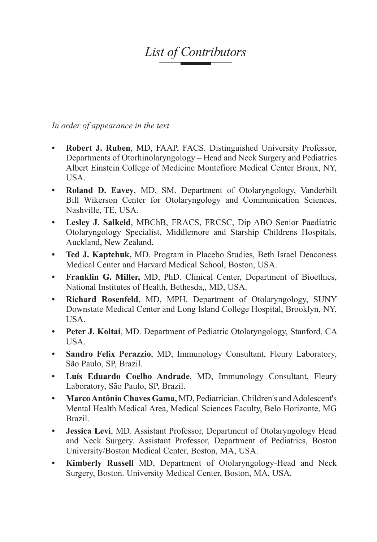## *List of Contributors*

*In order of appearance in the text*

- **• Robert J. Ruben**, MD, FAAP, FACS. Distinguished University Professor, Departments of Otorhinolaryngology – Head and Neck Surgery and Pediatrics Albert Einstein College of Medicine Montefiore Medical Center Bronx, NY, USA.
- **• Roland D. Eavey**, MD, SM. Department of Otolaryngology, Vanderbilt Bill Wikerson Center for Otolaryngology and Communication Sciences, Nashville, TE, USA.
- **• Lesley J. Salkeld**, MBChB, FRACS, FRCSC, Dip ABO Senior Paediatric Otolaryngology Specialist, Middlemore and Starship Childrens Hospitals, Auckland, New Zealand.
- **• Ted J. Kaptchuk,** MD. Program in Placebo Studies, Beth Israel Deaconess Medical Center and Harvard Medical School, Boston, USA.
- **• Franklin G. Miller,** MD, PhD. Clinical Center, Department of Bioethics, National Institutes of Health, Bethesda,, MD, USA.
- **• Richard Rosenfeld**, MD, MPH. Department of Otolaryngology, SUNY Downstate Medical Center and Long Island College Hospital, Brooklyn, NY, USA.
- **• Peter J. Koltai**, MD. Department of Pediatric Otolaryngology, Stanford, CA USA.
- **• Sandro Felix Perazzio**, MD, Immunology Consultant, Fleury Laboratory, São Paulo, SP, Brazil.
- **• Luís Eduardo Coelho Andrade**, MD, Immunology Consultant, Fleury Laboratory, São Paulo, SP, Brazil.
- **• MarcoAntônio Chaves Gama,** MD, Pediatrician. Children's and Adolescent's Mental Health Medical Area, Medical Sciences Faculty, Belo Horizonte, MG Brazil.
- **• Jessica Levi**, MD. Assistant Professor, Department of Otolaryngology Head and Neck Surgery. Assistant Professor, Department of Pediatrics, Boston University/Boston Medical Center, Boston, MA, USA.
- **• Kimberly Russell** MD, Department of Otolaryngology-Head and Neck Surgery, Boston. University Medical Center, Boston, MA, USA.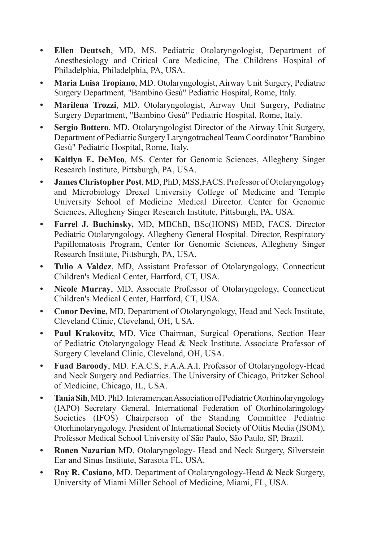- **• Ellen Deutsch**, MD, MS. Pediatric Otolaryngologist, Department of Anesthesiology and Critical Care Medicine, The Childrens Hospital of Philadelphia, Philadelphia, PA, USA.
- **• Maria Luisa Tropiano**, MD. Otolaryngologist, Airway Unit Surgery, Pediatric Surgery Department, "Bambino Gesù" Pediatric Hospital, Rome, Italy.
- **• Marilena Trozzi**, MD. Otolaryngologist, Airway Unit Surgery, Pediatric Surgery Department, "Bambino Gesù" Pediatric Hospital, Rome, Italy.
- **• Sergio Bottero**, MD. Otolaryngologist Director of the Airway Unit Surgery, Department of Pediatric Surgery Laryngotracheal Team Coordinator "Bambino Gesù" Pediatric Hospital, Rome, Italy.
- **• Kaitlyn E. DeMeo**, MS. Center for Genomic Sciences, Allegheny Singer Research Institute, Pittsburgh, PA, USA.
- **James Christopher Post**, MD, PhD, MSS, FACS. Professor of Otolaryngology and Microbiology Drexel University College of Medicine and Temple University School of Medicine Medical Director. Center for Genomic Sciences, Allegheny Singer Research Institute, Pittsburgh, PA, USA.
- **• Farrel J. Buchinsky,** MD, MBChB, BSc(HONS) MED, FACS. Director Pediatric Otolaryngology, Allegheny General Hospital. Director, Respiratory Papillomatosis Program, Center for Genomic Sciences, Allegheny Singer Research Institute, Pittsburgh, PA, USA.
- **• Tulio A Valdez**, MD, Assistant Professor of Otolaryngology, Connecticut Children's Medical Center, Hartford, CT, USA.
- **• Nicole Murray**, MD, Associate Professor of Otolaryngology, Connecticut Children's Medical Center, Hartford, CT, USA.
- **• Conor Devine,** MD, Department of Otolaryngology, Head and Neck Institute, Cleveland Clinic, Cleveland, OH, USA.
- **• Paul Krakovitz**, MD, Vice Chairman, Surgical Operations, Section Hear of Pediatric Otolaryngology Head & Neck Institute. Associate Professor of Surgery Cleveland Clinic, Cleveland, OH, USA.
- **• Fuad Baroody**, MD. F.A.C.S, F.A.A.A.I. Professor of Otolaryngology-Head and Neck Surgery and Pediatrics. The University of Chicago, Pritzker School of Medicine, Chicago, IL, USA.
- **Tania Sih**, MD. PhD. Interamerican Association of Pediatric Otorhinolaryngology (IAPO) Secretary General. International Federation of Otorhinolaringology Societies (IFOS) Chairperson of the Standing Committee Pediatric Otorhinolaryngology. President of International Society of Otitis Media (ISOM), Professor Medical School University of São Paulo, São Paulo, SP, Brazil.
- **Ronen Nazarian** MD. Otolaryngology- Head and Neck Surgery, Silverstein Ear and Sinus Institute, Sarasota FL, USA.
- **• Roy R. Casiano**, MD. Department of Otolaryngology-Head & Neck Surgery, University of Miami Miller School of Medicine, Miami, FL, USA.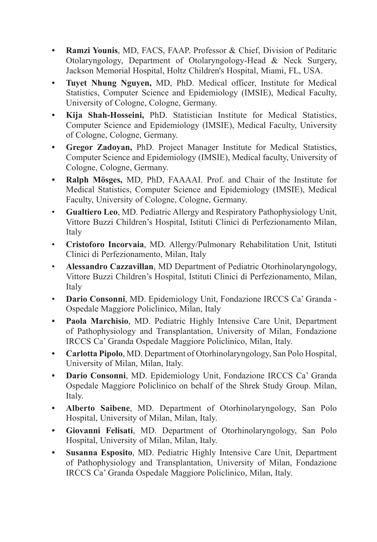- **• Ramzi Younis**, MD, FACS, FAAP. Professor & Chief, Division of Peditaric Otolaryngology, Department of Otolaryngology-Head & Neck Surgery, Jackson Memorial Hospital, Holtz Children's Hospital, Miami, FL, USA.
- **• Tuyet Nhung Nguyen,** MD, PhD. Medical officer, Institute for Medical Statistics, Computer Science and Epidemiology (IMSIE), Medical Faculty, University of Cologne, Cologne, Germany.
- **• Kija Shah-Hosseini,** PhD. Statistician Institute for Medical Statistics, Computer Science and Epidemiology (IMSIE), Medical Faculty, University of Cologne, Cologne, Germany.
- **• Gregor Zadoyan,** PhD. Project Manager Institute for Medical Statistics, Computer Science and Epidemiology (IMSIE), Medical faculty, University of Cologne, Cologne, Germany.
- **• Ralph Mösges,** MD, PhD, FAAAAI. Prof. and Chair of the Institute for Medical Statistics, Computer Science and Epidemiology (IMSIE), Medical Faculty, University of Cologne, Cologne, Germany.
- • **Gualtiero Leo**, MD. Pediatric Allergy and Respiratory Pathophysiology Unit, Vittore Buzzi Children's Hospital, Istituti Clinici di Perfezionamento Milan, Italy
- • **Cristoforo Incorvaia**, MD. Allergy/Pulmonary Rehabilitation Unit, Istituti Clinici di Perfezionamento, Milan, Italy
- • **Alessandro Cazzavillan**, MD Department of Pediatric Otorhinolaryngology, Vittore Buzzi Children's Hospital, Istituti Clinici di Perfezionamento, Milan, Italy
- • **Dario Consonni**, MD. Epidemiology Unit, Fondazione IRCCS Ca' Granda Ospedale Maggiore Policlinico, Milan, Italy
- **• Paola Marchisio**, MD. Pediatric Highly Intensive Care Unit, Department of Pathophysiology and Transplantation, University of Milan, Fondazione IRCCS Ca' Granda Ospedale Maggiore Policlinico, Milan, Italy.
- **• Carlotta Pipolo**, MD. Department of Otorhinolaryngology, San Polo Hospital, University of Milan, Milan, Italy.
- **• Dario Consonni**, MD. Epidemiology Unit, Fondazione IRCCS Ca' Granda Ospedale Maggiore Policlinico on behalf of the Shrek Study Group. Milan, Italy.
- **• Alberto Saibene**, MD. Department of Otorhinolaryngology, San Polo Hospital, University of Milan, Milan, Italy.
- **• Giovanni Felisati**, MD. Department of Otorhinolaryngology, San Polo Hospital, University of Milan, Milan, Italy.
- **• Susanna Esposito**, MD. Pediatric Highly Intensive Care Unit, Department of Pathophysiology and Transplantation, University of Milan, Fondazione IRCCS Ca' Granda Ospedale Maggiore Policlinico, Milan, Italy.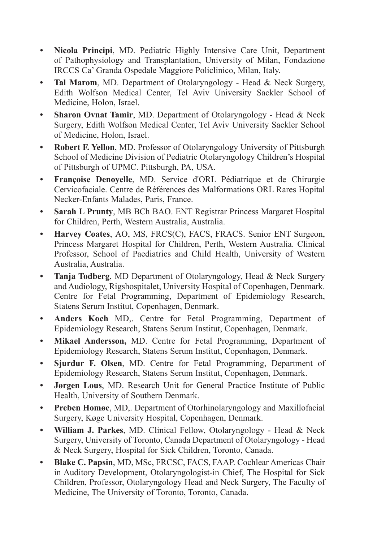- **• Nicola Principi**, MD. Pediatric Highly Intensive Care Unit, Department of Pathophysiology and Transplantation, University of Milan, Fondazione IRCCS Ca' Granda Ospedale Maggiore Policlinico, Milan, Italy.
- **• Tal Marom**, MD. Department of Otolaryngology Head & Neck Surgery, Edith Wolfson Medical Center, Tel Aviv University Sackler School of Medicine, Holon, Israel.
- **• Sharon Ovnat Tamir**, MD. Department of Otolaryngology Head & Neck Surgery, Edith Wolfson Medical Center, Tel Aviv University Sackler School of Medicine, Holon, Israel.
- **• Robert F. Yellon**, MD. Professor of Otolaryngology University of Pittsburgh School of Medicine Division of Pediatric Otolaryngology Children's Hospital of Pittsburgh of UPMC. Pittsburgh, PA, USA.
- **• Françoise Denoyelle**, MD. Service d'ORL Pédiatrique et de Chirurgie Cervicofaciale. Centre de Références des Malformations ORL Rares Hopital Necker-Enfants Malades, Paris, France.
- **• Sarah L Prunty**, MB BCh BAO. ENT Registrar Princess Margaret Hospital for Children, Perth, Western Australia, Australia.
- **• Harvey Coates**, AO, MS, FRCS(C), FACS, FRACS. Senior ENT Surgeon, Princess Margaret Hospital for Children, Perth, Western Australia. Clinical Professor, School of Paediatrics and Child Health, University of Western Australia, Australia.
- **• Tanja Todberg**, MD Department of Otolaryngology, Head & Neck Surgery and Audiology, Rigshospitalet, University Hospital of Copenhagen, Denmark. Centre for Fetal Programming, Department of Epidemiology Research, Statens Serum Institut, Copenhagen, Denmark.
- **• Anders Koch** MD,. Centre for Fetal Programming, Department of Epidemiology Research, Statens Serum Institut, Copenhagen, Denmark.
- **• Mikael Andersson,** MD. Centre for Fetal Programming, Department of Epidemiology Research, Statens Serum Institut, Copenhagen, Denmark.
- **• Sjurdur F. Olsen**, MD. Centre for Fetal Programming, Department of Epidemiology Research, Statens Serum Institut, Copenhagen, Denmark.
- **• Jørgen Lous**, MD. Research Unit for General Practice Institute of Public Health, University of Southern Denmark.
- **• Preben Homøe**, MD,. Department of Otorhinolaryngology and Maxillofacial Surgery, Køge University Hospital, Copenhagen, Denmark.
- **• William J. Parkes**, MD. Clinical Fellow, Otolaryngology Head & Neck Surgery, University of Toronto, Canada Department of Otolaryngology - Head & Neck Surgery, Hospital for Sick Children, Toronto, Canada.
- **• Blake C. Papsin**, MD, MSc, FRCSC, FACS, FAAP. Cochlear Americas Chair in Auditory Development, Otolaryngologist-in Chief, The Hospital for Sick Children, Professor, Otolaryngology Head and Neck Surgery, The Faculty of Medicine, The University of Toronto, Toronto, Canada.